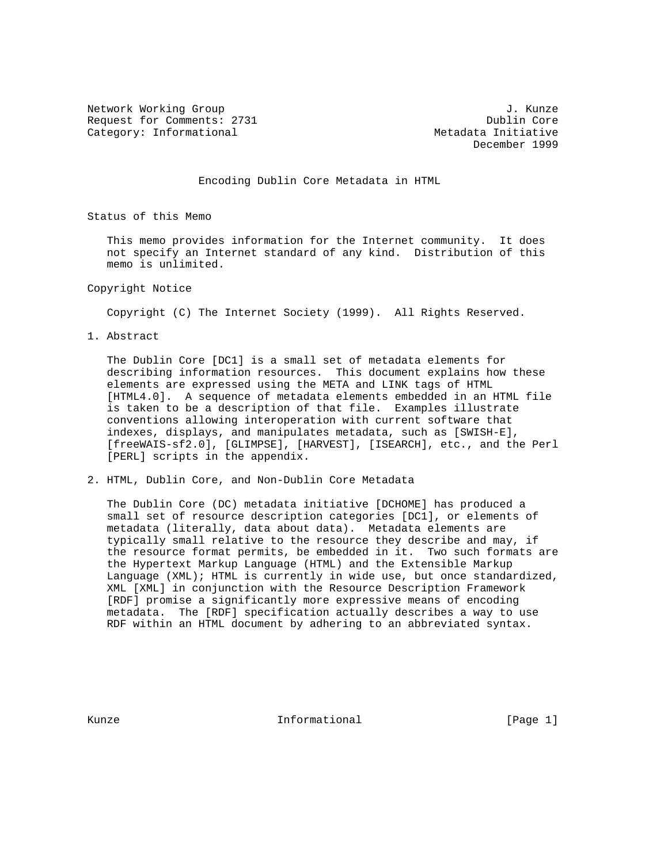Network Working Group 3. 2008 3. 2010 1. Kunze Request for Comments: 2731 Dublin Core Category: Informational Metadata Initiative

December 1999

Encoding Dublin Core Metadata in HTML

Status of this Memo

 This memo provides information for the Internet community. It does not specify an Internet standard of any kind. Distribution of this memo is unlimited.

Copyright Notice

Copyright (C) The Internet Society (1999). All Rights Reserved.

1. Abstract

 The Dublin Core [DC1] is a small set of metadata elements for describing information resources. This document explains how these elements are expressed using the META and LINK tags of HTML [HTML4.0]. A sequence of metadata elements embedded in an HTML file is taken to be a description of that file. Examples illustrate conventions allowing interoperation with current software that indexes, displays, and manipulates metadata, such as [SWISH-E], [freeWAIS-sf2.0], [GLIMPSE], [HARVEST], [ISEARCH], etc., and the Perl [PERL] scripts in the appendix.

2. HTML, Dublin Core, and Non-Dublin Core Metadata

 The Dublin Core (DC) metadata initiative [DCHOME] has produced a small set of resource description categories [DC1], or elements of metadata (literally, data about data). Metadata elements are typically small relative to the resource they describe and may, if the resource format permits, be embedded in it. Two such formats are the Hypertext Markup Language (HTML) and the Extensible Markup Language (XML); HTML is currently in wide use, but once standardized, XML [XML] in conjunction with the Resource Description Framework [RDF] promise a significantly more expressive means of encoding metadata. The [RDF] specification actually describes a way to use RDF within an HTML document by adhering to an abbreviated syntax.

Kunze **Informational Informational Informational** [Page 1]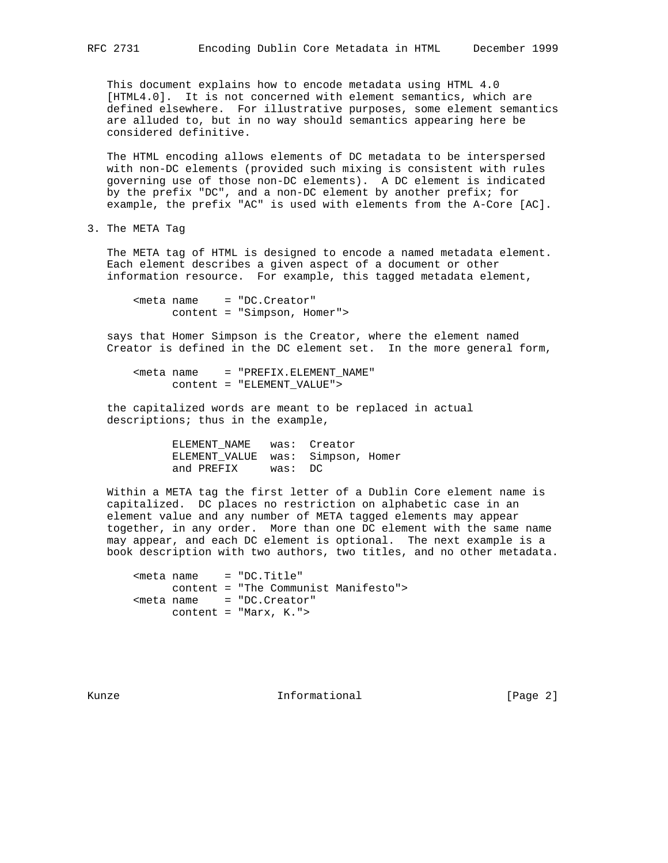This document explains how to encode metadata using HTML 4.0 [HTML4.0]. It is not concerned with element semantics, which are defined elsewhere. For illustrative purposes, some element semantics are alluded to, but in no way should semantics appearing here be considered definitive.

 The HTML encoding allows elements of DC metadata to be interspersed with non-DC elements (provided such mixing is consistent with rules governing use of those non-DC elements). A DC element is indicated by the prefix "DC", and a non-DC element by another prefix; for example, the prefix "AC" is used with elements from the A-Core [AC].

3. The META Tag

 The META tag of HTML is designed to encode a named metadata element. Each element describes a given aspect of a document or other information resource. For example, this tagged metadata element,

<meta name = "DC.Creator" content = "Simpson, Homer">

 says that Homer Simpson is the Creator, where the element named Creator is defined in the DC element set. In the more general form,

```
<meta name = "PREFIX.ELEMENT_NAME"
      content = "ELEMENT_VALUE">
```
 the capitalized words are meant to be replaced in actual descriptions; thus in the example,

> ELEMENT\_NAME was: Creator ELEMENT\_VALUE was: Simpson, Homer and PREFIX was: DC

 Within a META tag the first letter of a Dublin Core element name is capitalized. DC places no restriction on alphabetic case in an element value and any number of META tagged elements may appear together, in any order. More than one DC element with the same name may appear, and each DC element is optional. The next example is a book description with two authors, two titles, and no other metadata.

 <meta name = "DC.Title" content = "The Communist Manifesto"> <meta name = "DC.Creator" content = "Marx, K.">

Kunze **Informational Informational** [Page 2]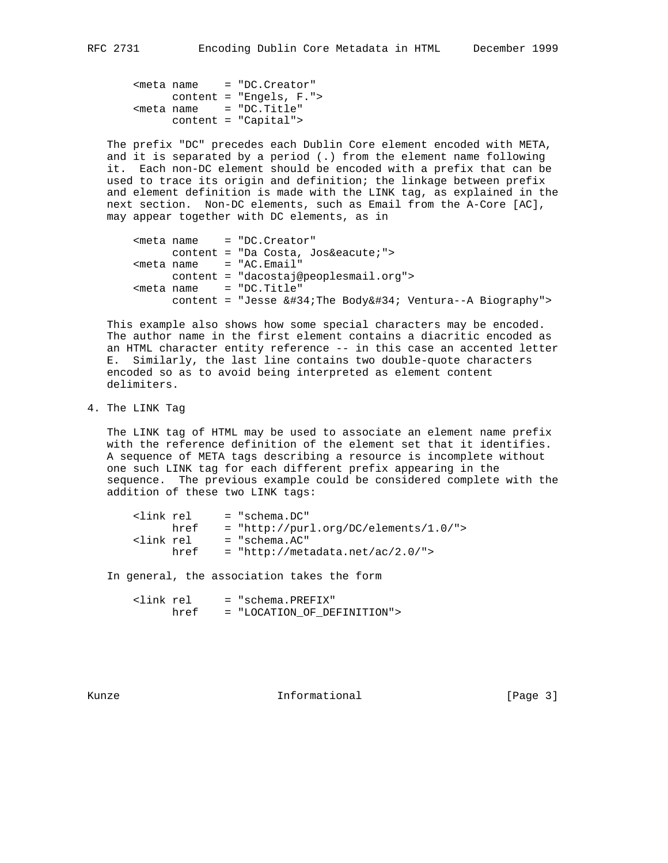<meta name = "DC.Creator" content = "Engels, F.">  $<sub>me</sub>tan$  = "DC.Title"</sub> content = "Capital">

 The prefix "DC" precedes each Dublin Core element encoded with META, and it is separated by a period (.) from the element name following it. Each non-DC element should be encoded with a prefix that can be used to trace its origin and definition; the linkage between prefix and element definition is made with the LINK tag, as explained in the next section. Non-DC elements, such as Email from the A-Core [AC], may appear together with DC elements, as in

|  | $meeta name = "DC. Creator"$                                          |
|--|-----------------------------------------------------------------------|
|  | content = "Da Costa, José">                                           |
|  | $meta name = "AC.Email"$                                              |
|  | $content = "daccstaj@peoplesmall.org"$                                |
|  | $meta name = "DC.Title"$                                              |
|  | content = "Jesse $\&\#34$ ; The Body $&\#34$ ; Ventura--A Biography"> |

 This example also shows how some special characters may be encoded. The author name in the first element contains a diacritic encoded as an HTML character entity reference -- in this case an accented letter E. Similarly, the last line contains two double-quote characters encoded so as to avoid being interpreted as element content delimiters.

## 4. The LINK Tag

 The LINK tag of HTML may be used to associate an element name prefix with the reference definition of the element set that it identifies. A sequence of META tags describing a resource is incomplete without one such LINK tag for each different prefix appearing in the sequence. The previous example could be considered complete with the addition of these two LINK tags:

| klink rel |      | $=$ "schema.DC"                         |
|-----------|------|-----------------------------------------|
|           | href | $=$ "http://purl.org/DC/elements/1.0/"> |
| klink rel |      | = "schema.AC"                           |
|           | href | $=$ "http://metadata.net/ac/2.0/">      |
|           |      |                                         |

In general, the association takes the form

| clink rel |      | = "schema.PREFIX"           |
|-----------|------|-----------------------------|
|           | href | = "LOCATION OF DEFINITION"> |

Kunze **Informational Informational** [Page 3]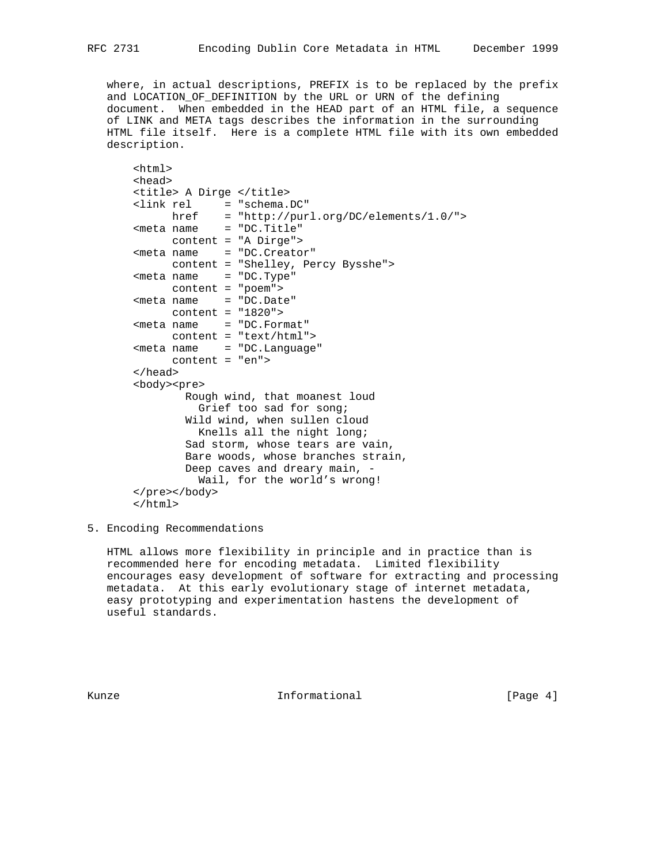where, in actual descriptions, PREFIX is to be replaced by the prefix and LOCATION\_OF\_DEFINITION by the URL or URN of the defining document. When embedded in the HEAD part of an HTML file, a sequence of LINK and META tags describes the information in the surrounding HTML file itself. Here is a complete HTML file with its own embedded description.

```
 <html>
 <head>
 <title> A Dirge </title>
 <link rel = "schema.DC"
     href = "http://purl.org/DC/elements/1.0/">
<sub>me</sub> name = "DC.Title"</sub>
      content = "A Dirge">
 <meta name = "DC.Creator"
      content = "Shelley, Percy Bysshe">
 <meta name = "DC.Type"
     content = "poem">
 <meta name = "DC.Date"
     content = "1820">
 <meta name = "DC.Format"
      content = "text/html">
<meta name = "DC.Language"
      content = "en">
 </head>
 <body><pre>
         Rough wind, that moanest loud
           Grief too sad for song;
         Wild wind, when sullen cloud
          Knells all the night long;
         Sad storm, whose tears are vain,
         Bare woods, whose branches strain,
         Deep caves and dreary main, -
           Wail, for the world's wrong!
 </pre></body>
 </html>
```
5. Encoding Recommendations

 HTML allows more flexibility in principle and in practice than is recommended here for encoding metadata. Limited flexibility encourages easy development of software for extracting and processing metadata. At this early evolutionary stage of internet metadata, easy prototyping and experimentation hastens the development of useful standards.

Kunze **Informational Informational Informational I**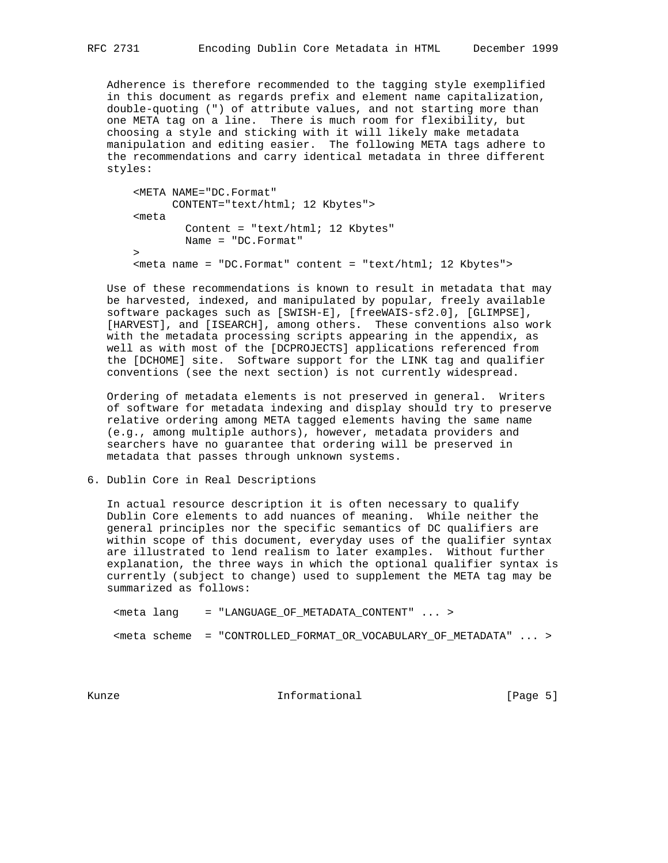Adherence is therefore recommended to the tagging style exemplified in this document as regards prefix and element name capitalization, double-quoting (") of attribute values, and not starting more than one META tag on a line. There is much room for flexibility, but choosing a style and sticking with it will likely make metadata manipulation and editing easier. The following META tags adhere to the recommendations and carry identical metadata in three different styles:

```
 <META NAME="DC.Format"
      CONTENT="text/html; 12 Kbytes">
 <meta
        Content = "text/html; 12 Kbytes"
         Name = "DC.Format"
\geq <meta name = "DC.Format" content = "text/html; 12 Kbytes">
```
 Use of these recommendations is known to result in metadata that may be harvested, indexed, and manipulated by popular, freely available software packages such as [SWISH-E], [freeWAIS-sf2.0], [GLIMPSE], [HARVEST], and [ISEARCH], among others. These conventions also work with the metadata processing scripts appearing in the appendix, as well as with most of the [DCPROJECTS] applications referenced from the [DCHOME] site. Software support for the LINK tag and qualifier conventions (see the next section) is not currently widespread.

 Ordering of metadata elements is not preserved in general. Writers of software for metadata indexing and display should try to preserve relative ordering among META tagged elements having the same name (e.g., among multiple authors), however, metadata providers and searchers have no guarantee that ordering will be preserved in metadata that passes through unknown systems.

6. Dublin Core in Real Descriptions

 In actual resource description it is often necessary to qualify Dublin Core elements to add nuances of meaning. While neither the general principles nor the specific semantics of DC qualifiers are within scope of this document, everyday uses of the qualifier syntax are illustrated to lend realism to later examples. Without further explanation, the three ways in which the optional qualifier syntax is currently (subject to change) used to supplement the META tag may be summarized as follows:

<meta lang = "LANGUAGE\_OF\_METADATA\_CONTENT" ... >

<meta scheme = "CONTROLLED\_FORMAT\_OR\_VOCABULARY\_OF\_METADATA" ... >

Kunze **Informational Informational** [Page 5]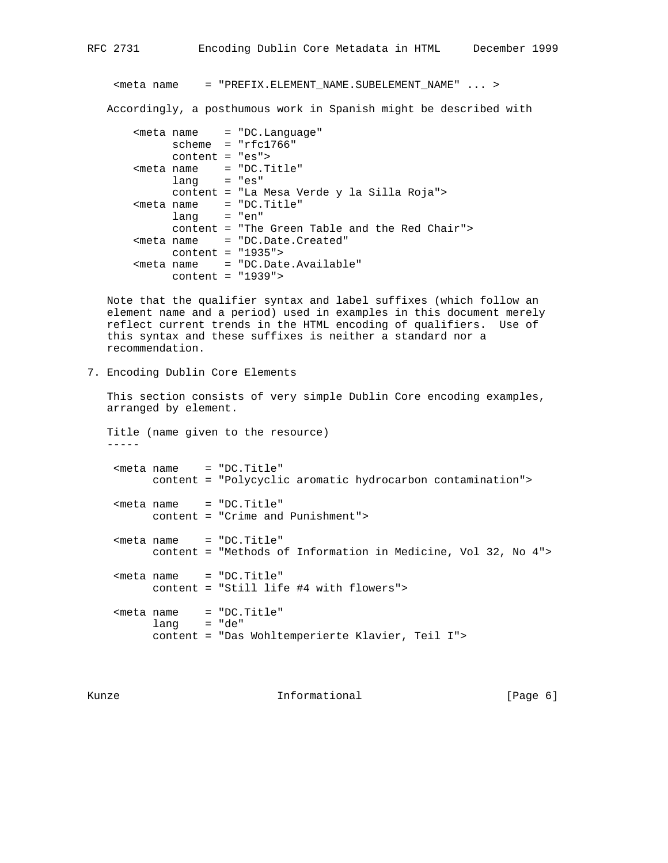<meta name = "PREFIX.ELEMENT\_NAME.SUBELEMENT\_NAME" ... >

Accordingly, a posthumous work in Spanish might be described with

 <meta name = "DC.Language" scheme = "rfc1766" content = "es"> <meta name = "DC.Title" lang = "es" content = "La Mesa Verde y la Silla Roja"> <meta name = "DC.Title"  $lang = "en"$  content = "The Green Table and the Red Chair"> <meta name = "DC.Date.Created" content = "1935"> <meta name = "DC.Date.Available" content = "1939">

 Note that the qualifier syntax and label suffixes (which follow an element name and a period) used in examples in this document merely reflect current trends in the HTML encoding of qualifiers. Use of this syntax and these suffixes is neither a standard nor a recommendation.

7. Encoding Dublin Core Elements

 This section consists of very simple Dublin Core encoding examples, arranged by element.

 Title (name given to the resource) ----- <meta name = "DC.Title" content = "Polycyclic aromatic hydrocarbon contamination"> <meta name = "DC.Title" content = "Crime and Punishment"> <meta name = "DC.Title" content = "Methods of Information in Medicine, Vol 32, No 4"> <meta name = "DC.Title" content = "Still life #4 with flowers"> <meta name = "DC.Title"  $lang = "de"$ content = "Das Wohltemperierte Klavier, Teil I">

Kunze **Informational Informational Example 1** [Page 6]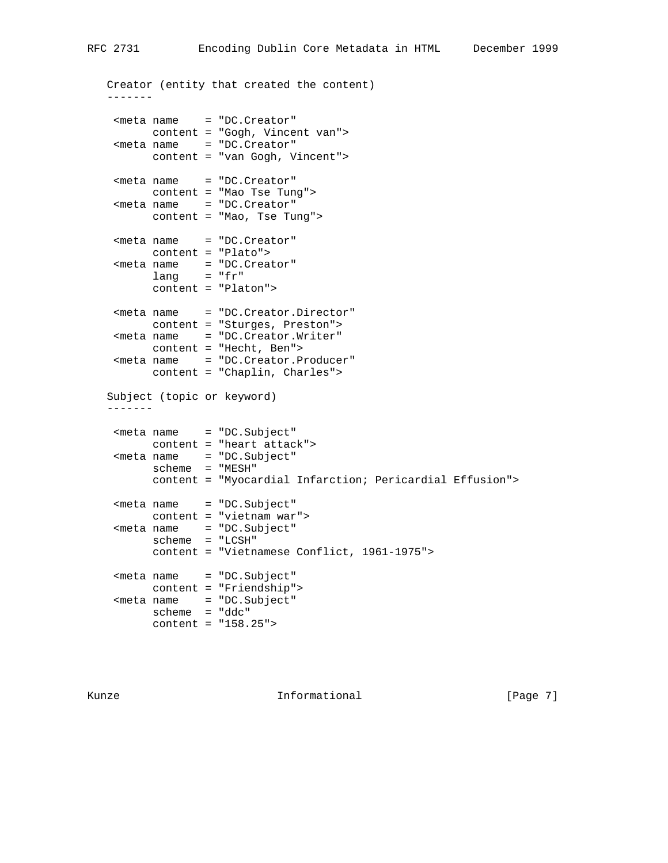Creator (entity that created the content) ------- <meta name = "DC.Creator" content = "Gogh, Vincent van"> <meta name = "DC.Creator" content = "van Gogh, Vincent"> <meta name = "DC.Creator" content = "Mao Tse Tung"> <meta name = "DC.Creator" content = "Mao, Tse Tung"> <meta name = "DC.Creator" content = "Plato"> <meta name = "DC.Creator" lang = "fr" content = "Platon"> <meta name = "DC.Creator.Director" content = "Sturges, Preston"> <meta name = "DC.Creator.Writer" content = "Hecht, Ben"> <meta name = "DC.Creator.Producer" content = "Chaplin, Charles"> Subject (topic or keyword) ------- <meta name = "DC.Subject" content = "heart attack"> <meta name = "DC.Subject" scheme = "MESH" content = "Myocardial Infarction; Pericardial Effusion"> <meta name = "DC.Subject" content = "vietnam war"> <meta name = "DC.Subject" scheme = "LCSH" content = "Vietnamese Conflict, 1961-1975"> <meta name = "DC.Subject" content = "Friendship"> <meta name = "DC.Subject" scheme = "ddc" content = "158.25">

Kunze **Informational Informational** [Page 7]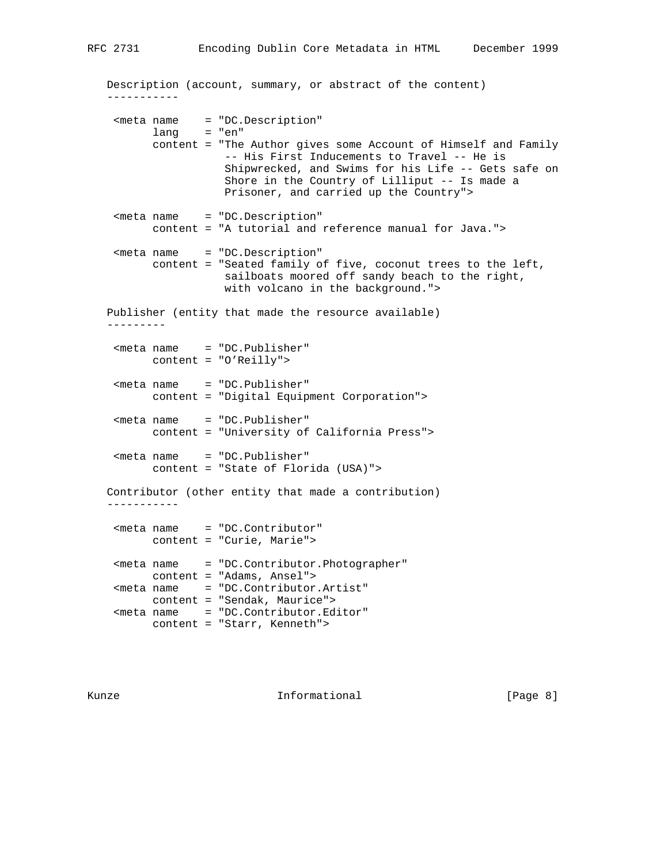|                     |               | Description (account, summary, or abstract of the content)                                                                                                                                                                                                      |
|---------------------|---------------|-----------------------------------------------------------------------------------------------------------------------------------------------------------------------------------------------------------------------------------------------------------------|
|                     | $lang = "en"$ | <meta <="" name="DC. Description" td=""/>                                                                                                                                                                                                                       |
|                     |               | content = "The Author gives some Account of Himself and Family<br>-- His First Inducements to Travel -- He is<br>Shipwrecked, and Swims for his Life -- Gets safe on<br>Shore in the Country of Lilliput -- Is made a<br>Prisoner, and carried up the Country"> |
|                     |               | <meta <br="" name="DC. Description"/> content = "A tutorial and reference manual for Java.">                                                                                                                                                                    |
|                     |               | <meta <br="" name="DC. Description"/> content = "Seated family of five, coconut trees to the left,<br>sailboats moored off sandy beach to the right,<br>with volcano in the background.">                                                                       |
|                     |               | Publisher (entity that made the resource available)                                                                                                                                                                                                             |
|                     |               | <meta <="" name="DC.Publisher" td=""/>                                                                                                                                                                                                                          |
|                     |               | content = "O'Reilly">                                                                                                                                                                                                                                           |
|                     |               | <meta <br="" name="DC. Publisher"/> content = "Digital Equipment Corporation">                                                                                                                                                                                  |
|                     |               | $meta name = "DC.Publisher"$<br>content = "University of California Press">                                                                                                                                                                                     |
|                     |               | <meta <br="" name="DC. Publisher"/> content = "State of Florida (USA)">                                                                                                                                                                                         |
| - - - - - - - - - - |               | Contributor (other entity that made a contribution)                                                                                                                                                                                                             |
|                     |               | <meta <="" name="DC.Contributor" td=""/>                                                                                                                                                                                                                        |
|                     |               | content = "Curie, Marie">                                                                                                                                                                                                                                       |
|                     |               | <meta <br="" name="DC.Contributor.Photographer"/> content = "Adams, Ansel">                                                                                                                                                                                     |
|                     |               | <meta <="" name="DC Contributor Artist" td=""/>                                                                                                                                                                                                                 |

 <meta name = "DC.Contributor.Artist" content = "Sendak, Maurice"> <meta name = "DC.Contributor.Editor" content = "Starr, Kenneth">

Kunze **Informational Informational** [Page 8]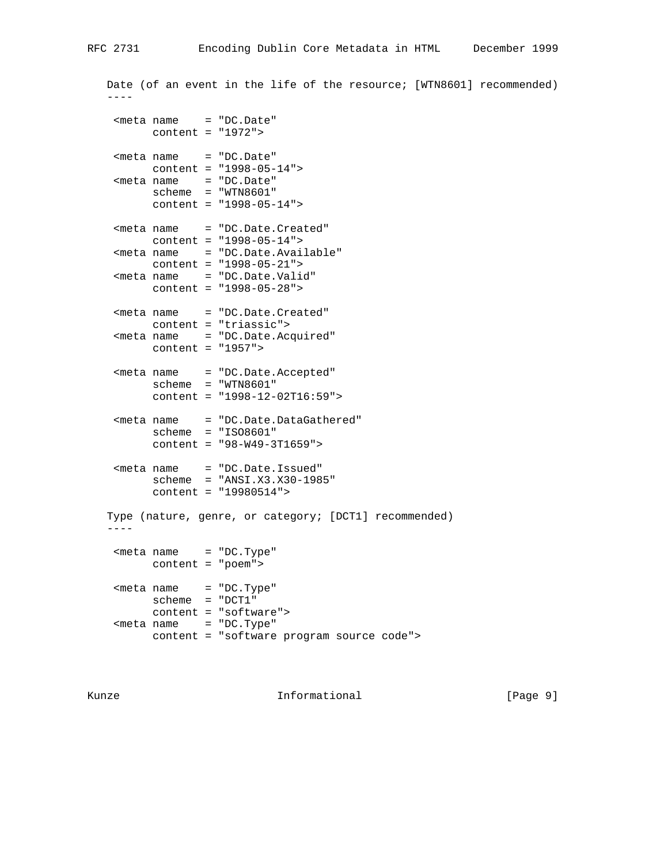Date (of an event in the life of the resource; [WTN8601] recommended)  $-$  <meta name = "DC.Date" content = "1972"> <meta name = "DC.Date" content = "1998-05-14"> <meta name = "DC.Date" scheme = "WTN8601" content = "1998-05-14"> <meta name = "DC.Date.Created" content = "1998-05-14"> <meta name = "DC.Date.Available" content = "1998-05-21"> <meta name = "DC.Date.Valid" content = "1998-05-28"> <meta name = "DC.Date.Created" content = "triassic"> <meta name = "DC.Date.Acquired" content = "1957"> <meta name = "DC.Date.Accepted" scheme = "WTN8601" content = "1998-12-02T16:59"> <meta name = "DC.Date.DataGathered" scheme = "ISO8601" content = "98-W49-3T1659"> <meta name = "DC.Date.Issued" scheme = "ANSI.X3.X30-1985" content = "19980514"> Type (nature, genre, or category; [DCT1] recommended) ---- <meta name = "DC.Type" content = "poem"> <meta name = "DC.Type" scheme = "DCT1" content = "software"> <meta name = "DC.Type" content = "software program source code">

Kunze **Informational Informational Informational I**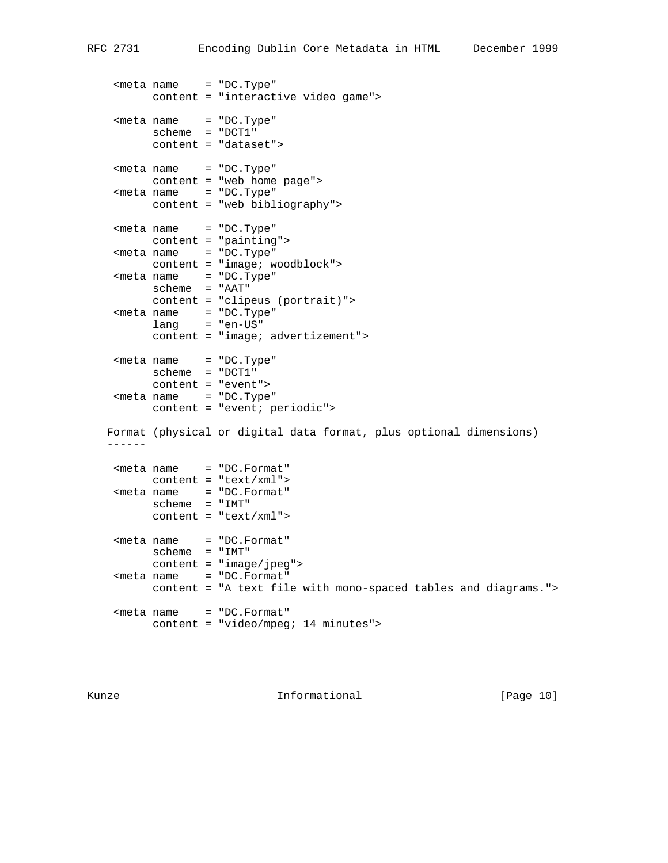<meta name = "DC.Type" content = "interactive video game"> <meta name = "DC.Type" scheme = "DCT1" content = "dataset"> <meta name = "DC.Type" content = "web home page"> <meta name = "DC.Type" content = "web bibliography"> <meta name = "DC.Type" content = "painting"> <meta name = "DC.Type" content = "image; woodblock"> <meta name = "DC.Type" scheme = "AAT" content = "clipeus (portrait)"> <meta name = "DC.Type" lang = "en-US" content = "image; advertizement"> <meta name = "DC.Type" scheme = "DCT1" content = "event"> <meta name = "DC.Type" content = "event; periodic"> Format (physical or digital data format, plus optional dimensions) ------ <meta name = "DC.Format" content = "text/xml"> <meta name = "DC.Format" scheme = "IMT" content = "text/xml"> <meta name = "DC.Format" scheme = "IMT" content = "image/jpeg"> <meta name = "DC.Format" content = "A text file with mono-spaced tables and diagrams."> <meta name = "DC.Format" content = "video/mpeg; 14 minutes">

Kunze **Informational Informational** [Page 10]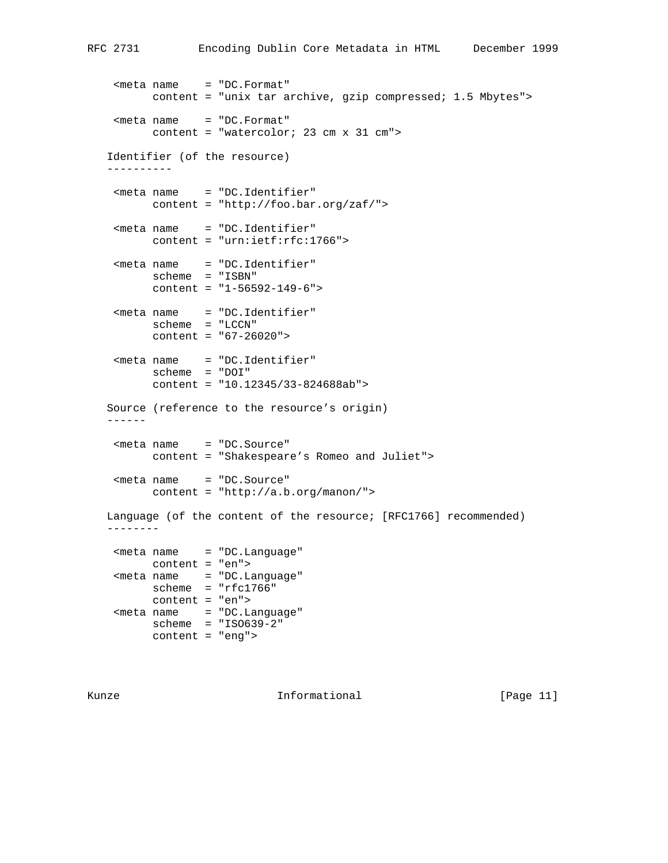<meta name = "DC.Format" content = "unix tar archive, gzip compressed; 1.5 Mbytes"> <meta name = "DC.Format" content = "watercolor; 23 cm x 31 cm"> Identifier (of the resource) ---------- <meta name = "DC.Identifier" content = "http://foo.bar.org/zaf/"> <meta name = "DC.Identifier" content = "urn:ietf:rfc:1766"> <meta name = "DC.Identifier" scheme = "ISBN" content = "1-56592-149-6"> <meta name = "DC.Identifier" scheme = "LCCN" content = "67-26020"> <meta name = "DC.Identifier" scheme = "DOI" content = "10.12345/33-824688ab"> Source (reference to the resource's origin) ------ <meta name = "DC.Source" content = "Shakespeare's Romeo and Juliet"> <meta name = "DC.Source" content = "http://a.b.org/manon/"> Language (of the content of the resource; [RFC1766] recommended) -------- <meta name = "DC.Language" content = "en"> <meta name = "DC.Language" scheme = "rfc1766" content = "en"> <meta name = "DC.Language" scheme = "ISO639-2" content = "eng">

Kunze **Informational Informational** [Page 11]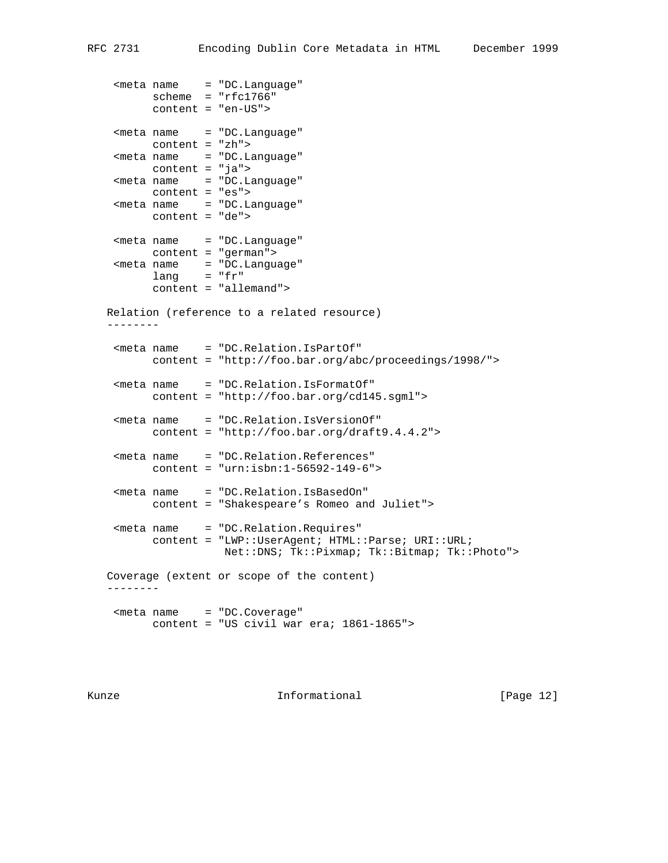```
<meta name = "DC.Language"
         scheme = "rfc1766" content = "en-US">
    <meta name = "DC.Language"
         content = "zh">
   <meta name = "DC.Language"
         content = "ja">
    <meta name = "DC.Language"
         content = "es">
   <meta name = "DC.Language"
         content = "de">
    <meta name = "DC.Language"
         content = "german">
 <meta name = "DC.Language"
 lang = "fr"
          content = "allemand">
   Relation (reference to a related resource)
    --------
    <meta name = "DC.Relation.IsPartOf"
         content = "http://foo.bar.org/abc/proceedings/1998/">
    <meta name = "DC.Relation.IsFormatOf"
          content = "http://foo.bar.org/cd145.sgml">
    <meta name = "DC.Relation.IsVersionOf"
          content = "http://foo.bar.org/draft9.4.4.2">
    <meta name = "DC.Relation.References"
          content = "urn:isbn:1-56592-149-6">
    <meta name = "DC.Relation.IsBasedOn"
          content = "Shakespeare's Romeo and Juliet">
    <meta name = "DC.Relation.Requires"
         content = "LWP::UserAgent; HTML::Parse; URI::URL;
                     Net::DNS; Tk::Pixmap; Tk::Bitmap; Tk::Photo">
   Coverage (extent or scope of the content)
   --------
    <meta name = "DC.Coverage"
          content = "US civil war era; 1861-1865">
```
Kunze **Informational Informational** [Page 12]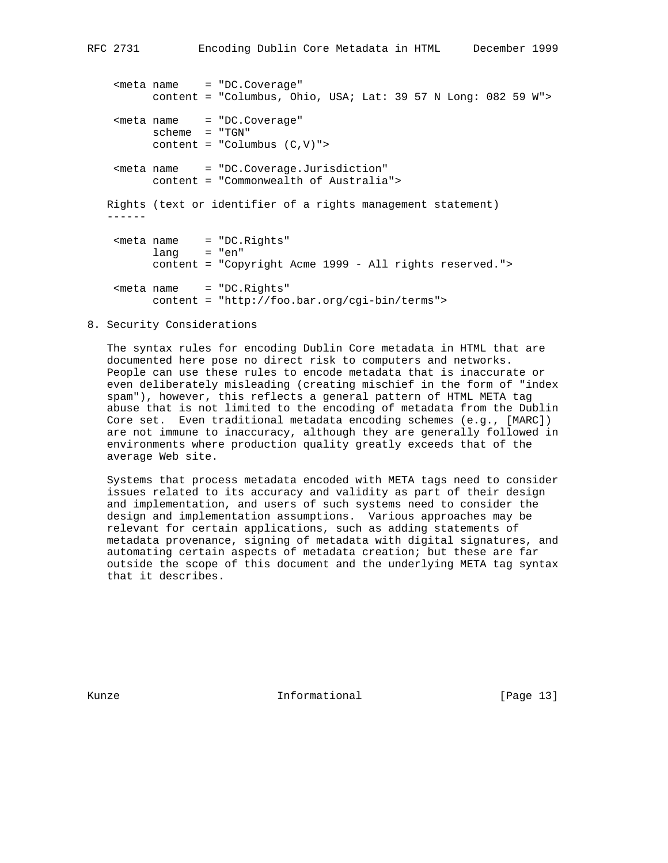<meta name = "DC.Coverage" content = "Columbus, Ohio, USA; Lat: 39 57 N Long: 082 59 W"> <meta name = "DC.Coverage" scheme = "TGN"  $content = "Columnbus (C,V)"$  <meta name = "DC.Coverage.Jurisdiction" content = "Commonwealth of Australia"> Rights (text or identifier of a rights management statement) ------ <meta name = "DC.Rights" lang = "en" content = "Copyright Acme 1999 - All rights reserved."> <meta name = "DC.Rights" content = "http://foo.bar.org/cgi-bin/terms">

## 8. Security Considerations

 The syntax rules for encoding Dublin Core metadata in HTML that are documented here pose no direct risk to computers and networks. People can use these rules to encode metadata that is inaccurate or even deliberately misleading (creating mischief in the form of "index spam"), however, this reflects a general pattern of HTML META tag abuse that is not limited to the encoding of metadata from the Dublin Core set. Even traditional metadata encoding schemes (e.g., [MARC]) are not immune to inaccuracy, although they are generally followed in environments where production quality greatly exceeds that of the average Web site.

 Systems that process metadata encoded with META tags need to consider issues related to its accuracy and validity as part of their design and implementation, and users of such systems need to consider the design and implementation assumptions. Various approaches may be relevant for certain applications, such as adding statements of metadata provenance, signing of metadata with digital signatures, and automating certain aspects of metadata creation; but these are far outside the scope of this document and the underlying META tag syntax that it describes.

Kunze **Informational Informational** [Page 13]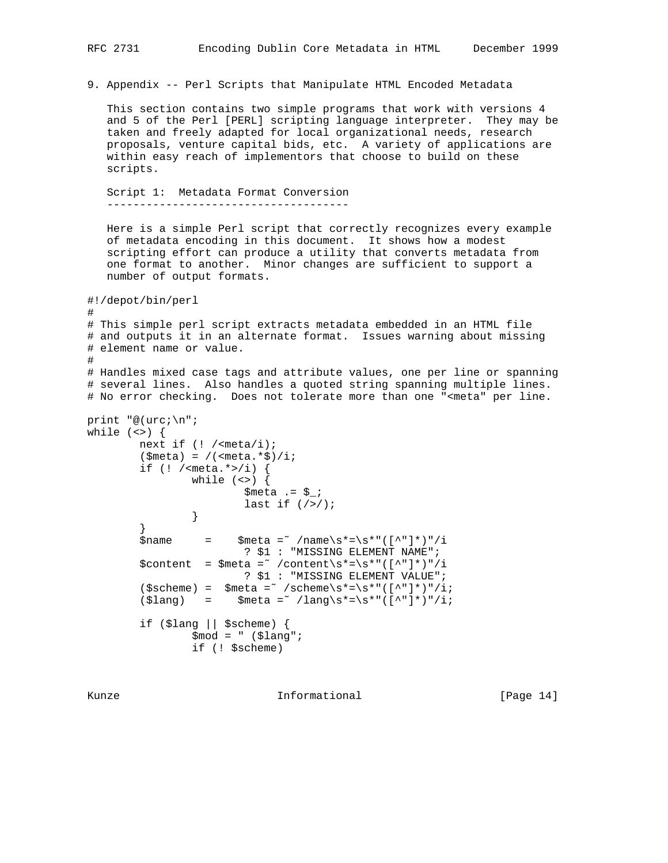9. Appendix -- Perl Scripts that Manipulate HTML Encoded Metadata

 This section contains two simple programs that work with versions 4 and 5 of the Perl [PERL] scripting language interpreter. They may be taken and freely adapted for local organizational needs, research proposals, venture capital bids, etc. A variety of applications are within easy reach of implementors that choose to build on these scripts.

 Script 1: Metadata Format Conversion -------------------------------------

 Here is a simple Perl script that correctly recognizes every example of metadata encoding in this document. It shows how a modest scripting effort can produce a utility that converts metadata from one format to another. Minor changes are sufficient to support a number of output formats.

```
#!/depot/bin/perl
#
# This simple perl script extracts metadata embedded in an HTML file
# and outputs it in an alternate format. Issues warning about missing
# element name or value.
```
# # Handles mixed case tags and attribute values, one per line or spanning # several lines. Also handles a quoted string spanning multiple lines. # No error checking. Does not tolerate more than one "<meta" per line.

```
print "@(urc;\n";
while (\le) {
         next if (! /<meta/i);
         (\frac{1}{2} = /(<meta. *$)/i;
         if (! / -meta. *>/i) {
                 while (\le) {
                          $meta .= $_;
                  last if \left(\frac{7}{2}\right);
 }
 }
         $name = $meta = /name\simeq \frac{\text{?}}{\text{?}} ? $1 : "MISSING ELEMENT NAME";
         \verb|Scontent = $meta = 7 / content \s* = \s*" ([^"]*)" / i ? $1 : "MISSING ELEMENT VALUE";
          ($scheme) = $meta =˜ /scheme\s*=\s*"([^"]*)"/i;
         (\frac{\ell}{2}ang) = \frac{\ell}{2} \frac{\ell}{2} \frac{\ell}{2} \frac{\ell}{2} if ($lang || $scheme) {
                  $mod = " ($lang": if (! $scheme)
```
Kunze **Informational Informational** [Page 14]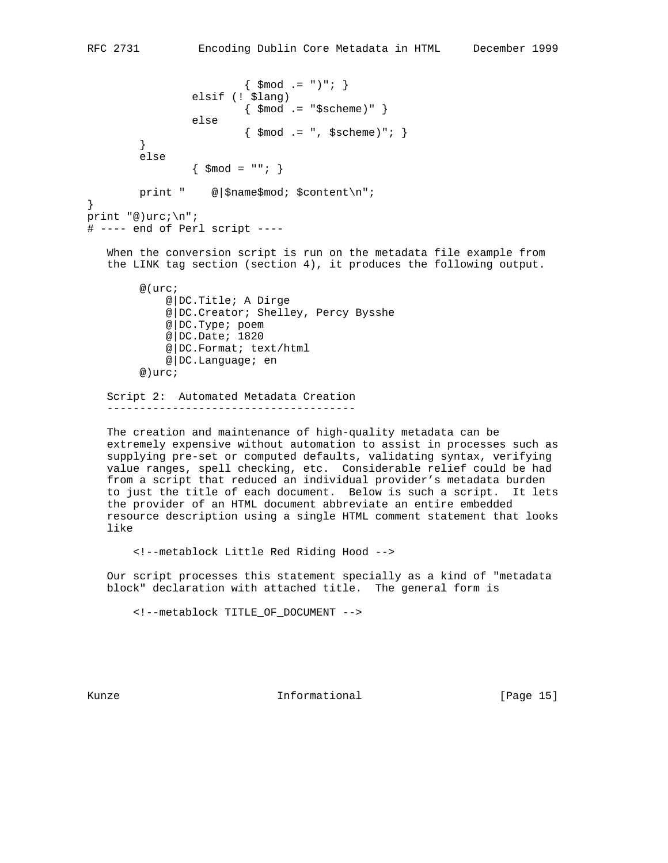```
{ \; \text{3mod} \; . = " } " ; \} elsif (! $lang)
                          \{ $mod .= "$scheme)" \} else
                          \{ \$mod .= ", $scheme)"; \} }
         else
                 \{ \ $mod = ""; \} print " @|$name$mod; $content\n";
}
print "@)urc;\n";
# ---- end of Perl script ----
    When the conversion script is run on the metadata file example from
    the LINK tag section (section 4), it produces the following output.
         @(urc;
              @|DC.Title; A Dirge
              @|DC.Creator; Shelley, Percy Bysshe
              @|DC.Type; poem
              @|DC.Date; 1820
              @|DC.Format; text/html
              @|DC.Language; en
         @)urc;
```
 Script 2: Automated Metadata Creation --------------------------------------

 The creation and maintenance of high-quality metadata can be extremely expensive without automation to assist in processes such as supplying pre-set or computed defaults, validating syntax, verifying value ranges, spell checking, etc. Considerable relief could be had from a script that reduced an individual provider's metadata burden to just the title of each document. Below is such a script. It lets the provider of an HTML document abbreviate an entire embedded resource description using a single HTML comment statement that looks like

<!--metablock Little Red Riding Hood -->

 Our script processes this statement specially as a kind of "metadata block" declaration with attached title. The general form is

<!--metablock TITLE\_OF\_DOCUMENT -->

Kunze **Informational Informational** [Page 15]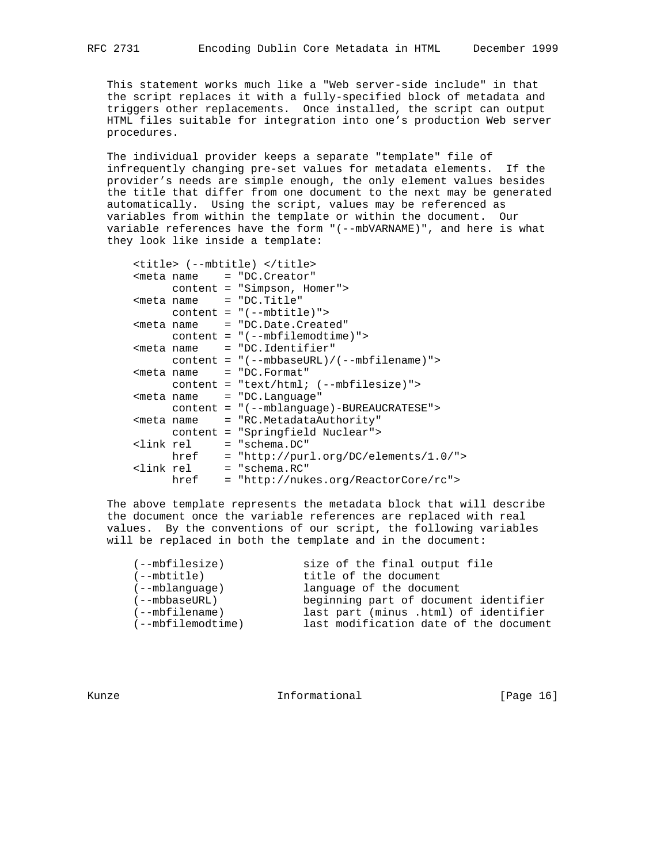This statement works much like a "Web server-side include" in that the script replaces it with a fully-specified block of metadata and triggers other replacements. Once installed, the script can output HTML files suitable for integration into one's production Web server procedures.

 The individual provider keeps a separate "template" file of infrequently changing pre-set values for metadata elements. If the provider's needs are simple enough, the only element values besides the title that differ from one document to the next may be generated automatically. Using the script, values may be referenced as variables from within the template or within the document. Our variable references have the form "(--mbVARNAME)", and here is what they look like inside a template:

|  |      | <title> (--mbtitle) </title>                   |
|--|------|------------------------------------------------|
|  |      | <meta <="" name="DC. Creator" td=""/>          |
|  |      | content = "Simpson, Homer">                    |
|  |      | $meta name = "DC.Title"$                       |
|  |      | $content = "(--mbititle)"$                     |
|  |      | <meta <="" name="DC.Date.Created" td=""/>      |
|  |      | $content = "(--mbfilename)$                    |
|  |      | <meta <="" name="DC.Identifier" td=""/>        |
|  |      | $content = "(--mbbaseURL)/(--mbfilename)$ ">   |
|  |      | <meta <="" name="DC.Format" td=""/>            |
|  |      | $content = "text/htm1; (--mbfilesize)")$       |
|  |      | <meta <="" name="DC.Language" td=""/>          |
|  |      | content = "(--mblanguage)-BUREAUCRATESE">      |
|  |      | <meta <="" name="RC.MetadataAuthority" td=""/> |
|  |      | content = "Springfield Nuclear">               |
|  |      | <link <="" rel="schema.DC" td=""/>             |
|  | href | = "http://purl.org/DC/elements/1.0/">          |
|  |      | <link <="" rel="schema.RC" td=""/>             |
|  | href | = "http://nukes.org/ReactorCore/rc">           |

 The above template represents the metadata block that will describe the document once the variable references are replaced with real values. By the conventions of our script, the following variables will be replaced in both the template and in the document:

| $(- - mbfilesize)$  | size of the final output file          |
|---------------------|----------------------------------------|
| (--mbtitle)         | title of the document                  |
| $(- - mb$ lanquaqe) | language of the document               |
| $(--mbbaseURL)$     | beginning part of document identifier  |
| $(- - mbfilename)$  | last part (minus .html) of identifier  |
| (--mbfilemodtime)   | last modification date of the document |
|                     |                                        |

Kunze **Informational Informational** [Page 16]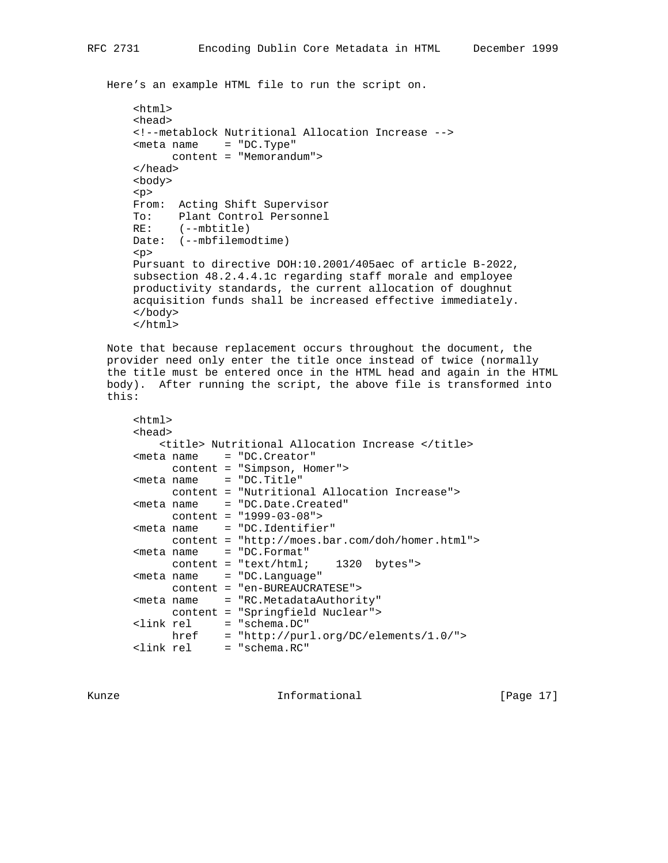Here's an example HTML file to run the script on.

```
 <html>
 <head>
 <!--metablock Nutritional Allocation Increase -->
 <meta name = "DC.Type"
       content = "Memorandum">
 </head>
 <body>
 <p>
 From: Acting Shift Supervisor
 To: Plant Control Personnel
 RE: (--mbtitle)
 Date: (--mbfilemodtime)
 <p>
 Pursuant to directive DOH:10.2001/405aec of article B-2022,
 subsection 48.2.4.4.1c regarding staff morale and employee
 productivity standards, the current allocation of doughnut
 acquisition funds shall be increased effective immediately.
 </body>
 </html>
```
 Note that because replacement occurs throughout the document, the provider need only enter the title once instead of twice (normally the title must be entered once in the HTML head and again in the HTML body). After running the script, the above file is transformed into this:

```
 <html>
 <head>
    <title> Nutritional Allocation Increase </title>
 <meta name = "DC.Creator"
     content = "Simpson, Homer">
 <meta name = "DC.Title"
      content = "Nutritional Allocation Increase">
 <meta name = "DC.Date.Created"
      content = "1999-03-08">
 <meta name = "DC.Identifier"
      content = "http://moes.bar.com/doh/homer.html">
 <meta name = "DC.Format"
      content = "text/html; 1320 bytes">
 <meta name = "DC.Language"
     content = "en-BUREAUCRATESE">
 <meta name = "RC.MetadataAuthority"
      content = "Springfield Nuclear">
 <link rel = "schema.DC"
      href = "http://purl.org/DC/elements/1.0/">
 <link rel = "schema.RC"
```
Kunze **Informational Informational** [Page 17]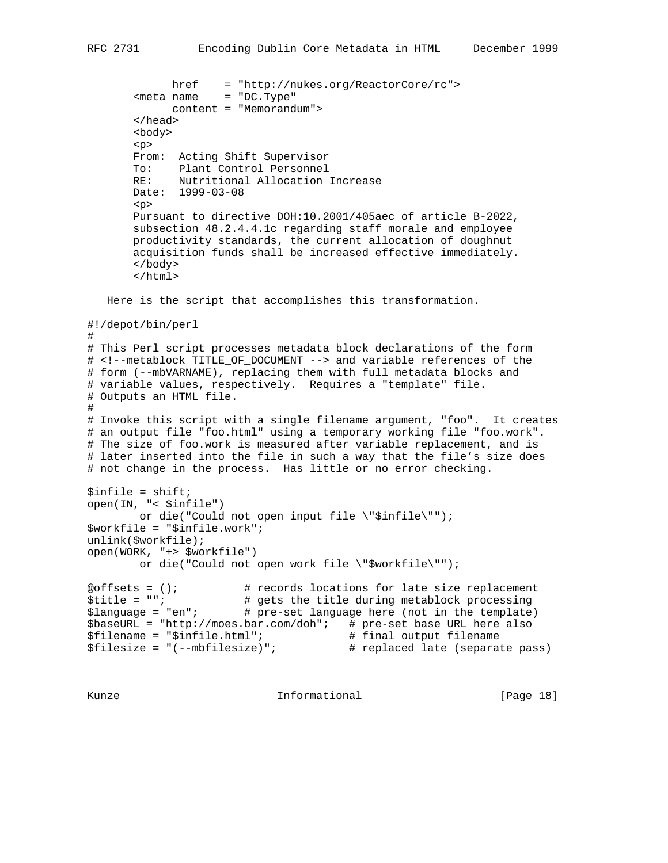```
 href = "http://nukes.org/ReactorCore/rc">
       <sub>me</sub>tan = "DC. Type"</sub>
              content = "Memorandum">
        </head>
        <body>
        <p>
        From: Acting Shift Supervisor
        To: Plant Control Personnel
        RE: Nutritional Allocation Increase
        Date: 1999-03-08
        <p>
        Pursuant to directive DOH:10.2001/405aec of article B-2022,
        subsection 48.2.4.4.1c regarding staff morale and employee
        productivity standards, the current allocation of doughnut
        acquisition funds shall be increased effective immediately.
        </body>
        </html>
   Here is the script that accomplishes this transformation.
#!/depot/bin/perl
#
# This Perl script processes metadata block declarations of the form
# <!--metablock TITLE_OF_DOCUMENT --> and variable references of the
# form (--mbVARNAME), replacing them with full metadata blocks and
# variable values, respectively. Requires a "template" file.
# Outputs an HTML file.
#
# Invoke this script with a single filename argument, "foo". It creates
# an output file "foo.html" using a temporary working file "foo.work".
# The size of foo.work is measured after variable replacement, and is
# later inserted into the file in such a way that the file's size does
# not change in the process. Has little or no error checking.
$infile = shift;open(IN, "< $infile")
        or die("Could not open input file \"$infile\"");
$workfile = "$infile.work";
unlink($workfile);
open(WORK, "+> $workfile")
         or die("Could not open work file \"$workfile\"");
@offsets = (); # records locations for late size replacement
$title = ""; # gets the title during metablock processing
$language = "en"; # pre-set language here (not in the template)
$baseURL = "http://moes.bar.com/doh"; # pre-set base URL here also<br>$filename = "$infile.html"; # final output filename
$filename = "$infile.html"; # final output filename
$filesize = "(--mbfilesize)"; # replaced late (separate pass)
```
Kunze **Informational Informational** [Page 18]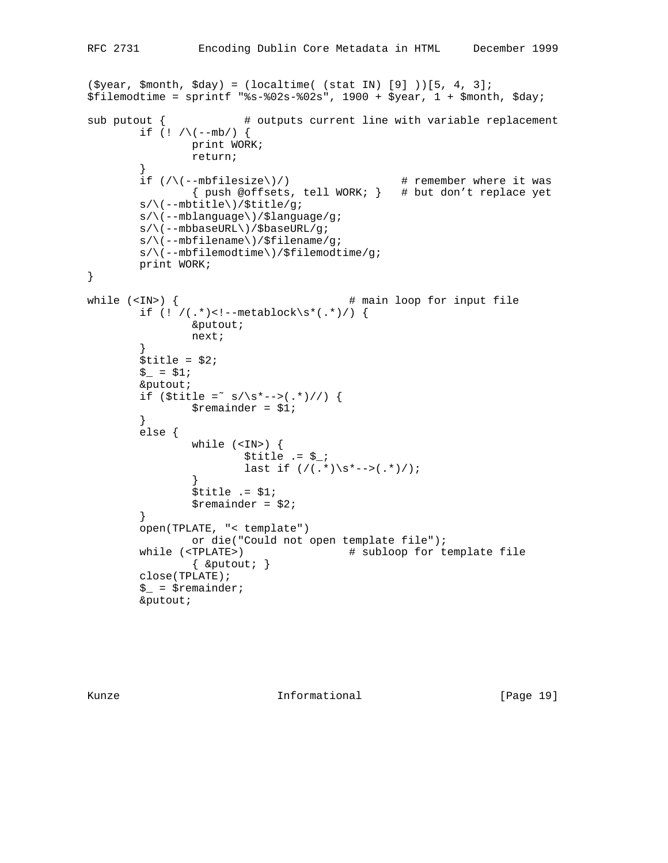```
(\text{Syear}, \text{$month}, \text{§day}) = (\text{localtime}( \text{ (stat IN)} [9] ))[5, 4, 3];$filemodtime = sprint  " s-802s-802s , 1900 + $year, 1 + $month, $day;sub putout { \qquad # outputs current line with variable replacement
        if (! / \ (--mb/ ) {
                print WORK;
                return;
        }<br>if (/\(--mbfilesize\)/)
                                                 # remember where it was
                 { push @offsets, tell WORK; } # but don't replace yet
         s/\(--mbtitle\)/$title/g;
         s/\(--mblanguage\)/$language/g;
         s/\(--mbbaseURL\)/$baseURL/g;
         s/\(--mbfilename\)/$filename/g;
         s/\(--mbfilemodtime\)/$filemodtime/g;
         print WORK;
}
while (<IN>) { # main loop for input file
        if (! / (.*) < ! -- methodlock \s*(.*) / ) &putout;
                 next;
         }
        $title = $2;$ = $1;
         &putout;
        if ($title = s/\s^{--}) (.*)//) {
                $remainder = $1; }
         else {
                 while (<IN>) {
                        $title .= $_7;last if \left( / (.*) \sarrow^* - > (.*) / );
 }
                $title .= $1;$remainder = $2; }
         open(TPLATE, "< template")
                or die("Could not open template file");
        while (<TPLATE>) \qquad # subloop for template file
                { &putout; }
         close(TPLATE);
        \zeta = \zeta remainder;
         &putout;
```
Kunze **Informational Informational** [Page 19]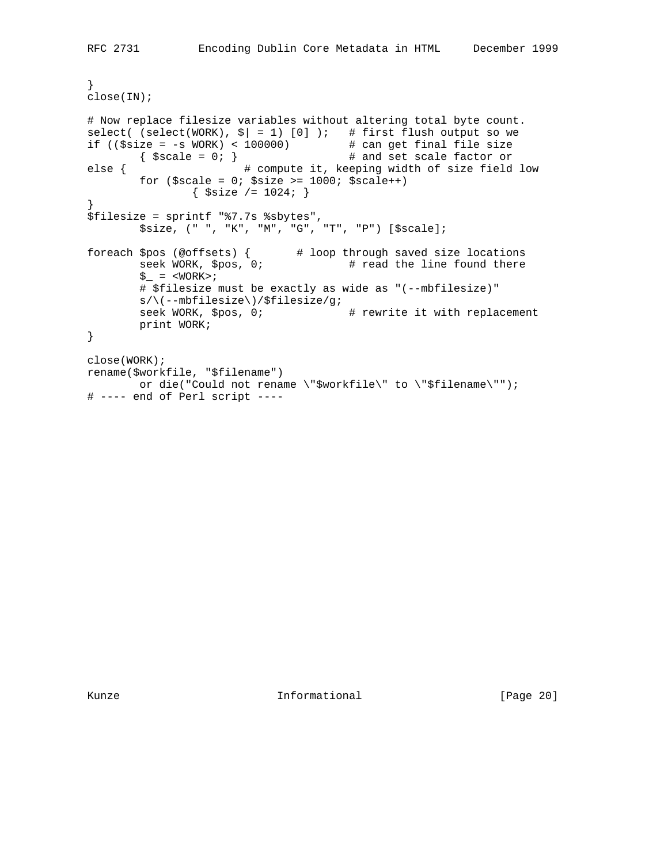```
}
close(IN);
# Now replace filesize variables without altering total byte count.
select( (select(WORK), \frac{s}{s} = 1) [0] ); # first flush output so we
if (($size = -s WORK) < 100000) # can get final file size
       \{ $scale = 0; \} # and set scale factor or
else { # compute it, keeping width of size field low
       for $scale = 0; $size >= 1000; $scale++)\{ $size /= 1024; \}}
$filesize = sprintf "%7.7s %sbytes",
        $size, (" ", "K", "M", "G", "T", "P") [$scale];
foreach $pos (@offsets) { # loop through saved size locations
 seek WORK, $pos, 0; # read the line found there
       \zeta_- = <WORK>;
        # $filesize must be exactly as wide as "(--mbfilesize)"
        s/\(--mbfilesize\)/$filesize/g;
       seek WORK, $pos, 0; \qquad # rewrite it with replacement
        print WORK;
}
close(WORK);
rename($workfile, "$filename")
       or die("Could not rename \"$workfile\" to \"$filename\"");
# ---- end of Perl script ----
```
Kunze **Informational Informational** [Page 20]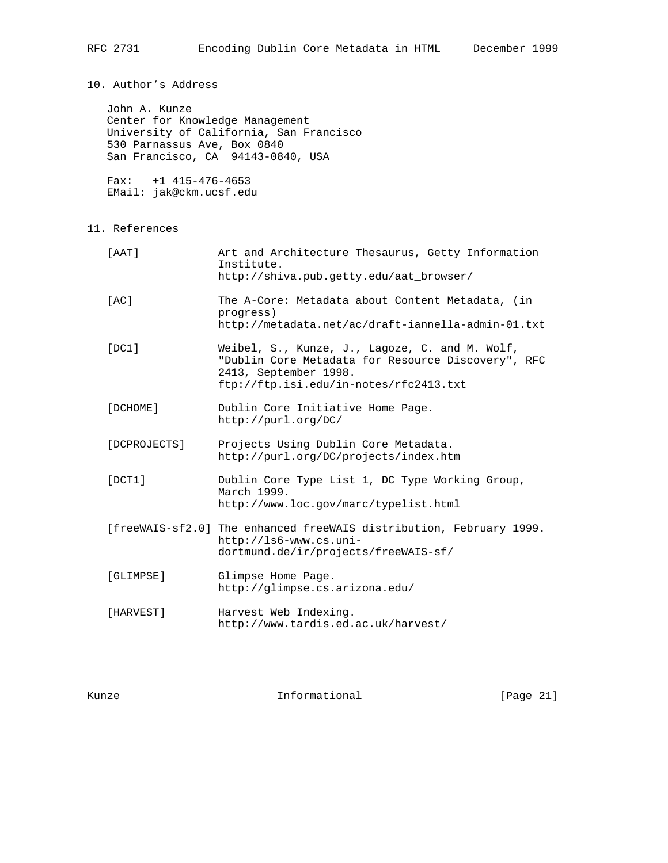10. Author's Address

 John A. Kunze Center for Knowledge Management University of California, San Francisco 530 Parnassus Ave, Box 0840 San Francisco, CA 94143-0840, USA

 Fax: +1 415-476-4653 EMail: jak@ckm.ucsf.edu

11. References

| $[$ AAT $]$        | Art and Architecture Thesaurus, Getty Information<br>Institute.<br>http://shiva.pub.qetty.edu/aat browser/                                                              |
|--------------------|-------------------------------------------------------------------------------------------------------------------------------------------------------------------------|
| $\lceil AC \rceil$ | The A-Core: Metadata about Content Metadata, (in<br>progress)<br>http://metadata.net/ac/draft-iannella-admin-01.txt                                                     |
| [DC1]              | Weibel, S., Kunze, J., Lagoze, C. and M. Wolf,<br>"Dublin Core Metadata for Resource Discovery", RFC<br>2413, September 1998.<br>ftp://ftp.isi.edu/in-notes/rfc2413.txt |
| [DCHOME]           | Dublin Core Initiative Home Page.<br>http://purl.org/DC/                                                                                                                |
| [DCPROJECTS]       | Projects Using Dublin Core Metadata.<br>http://purl.org/DC/projects/index.htm                                                                                           |
| [DCT1]             | Dublin Core Type List 1, DC Type Working Group,<br>March 1999.<br>http://www.loc.gov/marc/typelist.html                                                                 |
|                    | [freeWAIS-sf2.0] The enhanced freeWAIS distribution, February 1999.<br>http://ls6-www.cs.uni-<br>dortmund.de/ir/projects/freeWAIS-sf/                                   |
| [GLIMPSE]          | Glimpse Home Page.<br>http://glimpse.cs.arizona.edu/                                                                                                                    |
| [HARVEST]          | Harvest Web Indexing.<br>http://www.tardis.ed.ac.uk/harvest/                                                                                                            |

Kunze **Informational Informational** [Page 21]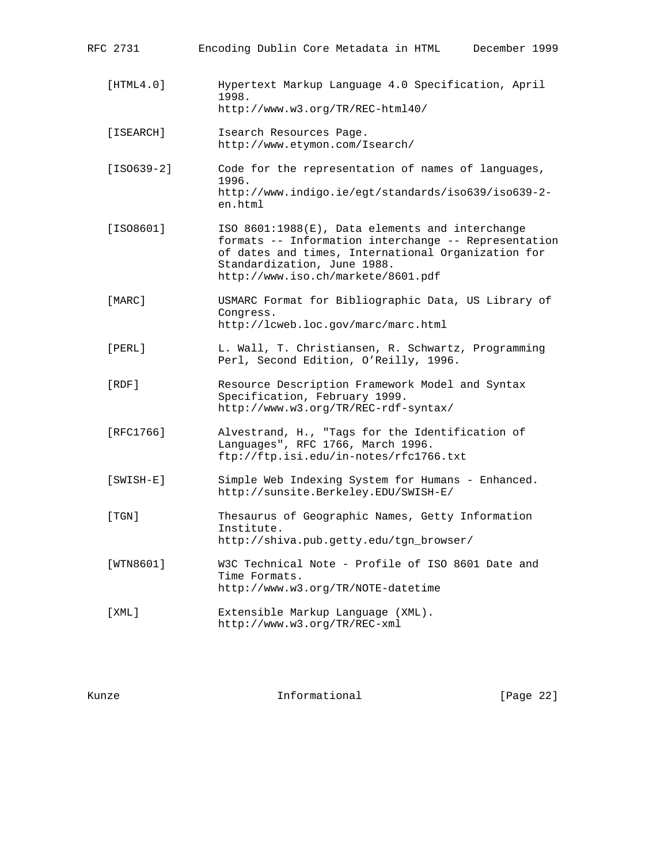| RFC 2731     | Encoding Dublin Core Metadata in HTML<br>December 1999                                                                                                                                                                             |
|--------------|------------------------------------------------------------------------------------------------------------------------------------------------------------------------------------------------------------------------------------|
| [HTML4.0]    | Hypertext Markup Language 4.0 Specification, April<br>1998.<br>http://www.w3.org/TR/REC-html40/                                                                                                                                    |
| [ISEARCH]    | Isearch Resources Page.<br>http://www.etymon.com/Isearch/                                                                                                                                                                          |
| $[ISO639-2]$ | Code for the representation of names of languages,<br>1996.<br>http://www.indigo.ie/egt/standards/iso639/iso639-2-<br>en.html                                                                                                      |
| [ISO8601]    | ISO 8601:1988(E), Data elements and interchange<br>formats -- Information interchange -- Representation<br>of dates and times, International Organization for<br>Standardization, June 1988.<br>http://www.iso.ch/markete/8601.pdf |
| [MARC]       | USMARC Format for Bibliographic Data, US Library of<br>Congress.<br>http://lcweb.loc.gov/marc/marc.html                                                                                                                            |
| [PERL]       | L. Wall, T. Christiansen, R. Schwartz, Programming<br>Perl, Second Edition, O'Reilly, 1996.                                                                                                                                        |
| [RDF]        | Resource Description Framework Model and Syntax<br>Specification, February 1999.<br>http://www.w3.org/TR/REC-rdf-syntax/                                                                                                           |
| [RFC1766]    | Alvestrand, H., "Tags for the Identification of<br>Languages", RFC 1766, March 1996.<br>ftp://ftp.isi.edu/in-notes/rfc1766.txt                                                                                                     |
| $[SWISH-E]$  | Simple Web Indexing System for Humans - Enhanced.<br>http://sunsite.Berkeley.EDU/SWISH-E/                                                                                                                                          |
| [TGN]        | Thesaurus of Geographic Names, Getty Information<br>Institute.<br>http://shiva.pub.getty.edu/tgn_browser/                                                                                                                          |
| [WTN8601]    | W3C Technical Note - Profile of ISO 8601 Date and<br>Time Formats.<br>http://www.w3.org/TR/NOTE-datetime                                                                                                                           |
| [XML]        | Extensible Markup Language (XML).<br>http://www.w3.org/TR/REC-xml                                                                                                                                                                  |

Kunze **Informational Informational** [Page 22]